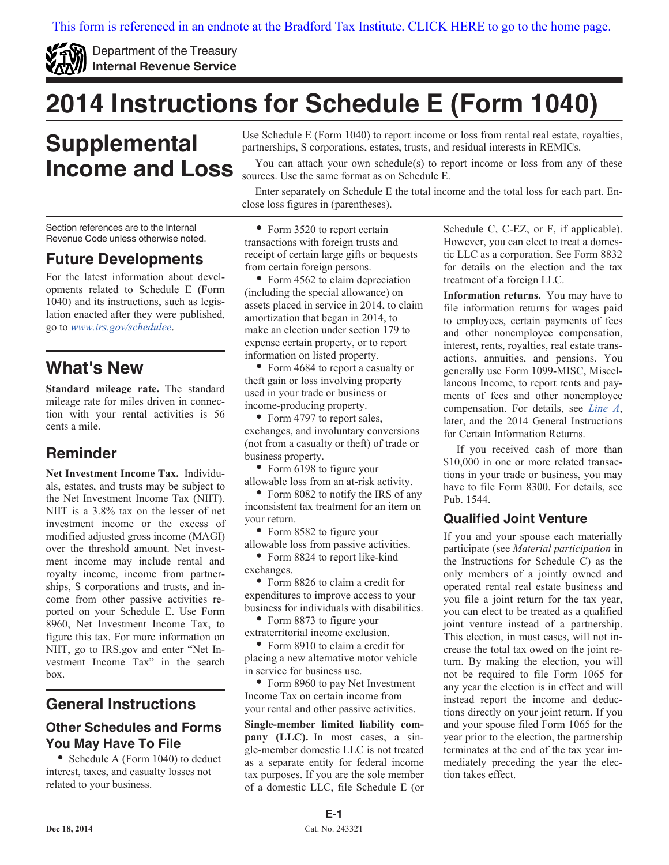<span id="page-0-0"></span>

Department of the Treasury **Internal Revenue Service**

# **2014 Instructions for Schedule E (Form 1040)**

# **Supplemental Income and Loss**

Section references are to the Internal Revenue Code unless otherwise noted.

# **Future Developments**

For the latest information about developments related to Schedule E (Form 1040) and its instructions, such as legislation enacted after they were published, go to *[www.irs.gov/schedulee](http://www.irs.gov/schedulee)*.

# **What's New**

**Standard mileage rate.** The standard mileage rate for miles driven in connection with your rental activities is 56 cents a mile.

# **Reminder**

**Net Investment Income Tax.** Individuals, estates, and trusts may be subject to the Net Investment Income Tax (NIIT). NIIT is a 3.8% tax on the lesser of net investment income or the excess of modified adjusted gross income (MAGI) over the threshold amount. Net investment income may include rental and royalty income, income from partnerships, S corporations and trusts, and income from other passive activities reported on your Schedule E. Use Form 8960, Net Investment Income Tax, to figure this tax. For more information on NIIT, go to IRS.gov and enter "Net Investment Income Tax" in the search box.

# **General Instructions**

# **Other Schedules and Forms You May Have To File**

• Schedule A (Form 1040) to deduct interest, taxes, and casualty losses not related to your business.

Use Schedule E (Form 1040) to report income or loss from rental real estate, royalties, partnerships, S corporations, estates, trusts, and residual interests in REMICs.

You can attach your own schedule(s) to report income or loss from any of these sources. Use the same format as on Schedule E.

Enter separately on Schedule E the total income and the total loss for each part. Enclose loss figures in (parentheses).

• Form 3520 to report certain transactions with foreign trusts and receipt of certain large gifts or bequests from certain foreign persons.

• Form 4562 to claim depreciation (including the special allowance) on assets placed in service in 2014, to claim amortization that began in 2014, to make an election under section 179 to expense certain property, or to report information on listed property.

• Form 4684 to report a casualty or theft gain or loss involving property used in your trade or business or income-producing property.

• Form 4797 to report sales, exchanges, and involuntary conversions (not from a casualty or theft) of trade or business property.

• Form 6198 to figure your allowable loss from an at-risk activity.

• Form 8082 to notify the IRS of any inconsistent tax treatment for an item on your return.

• Form 8582 to figure your allowable loss from passive activities.

Form 8824 to report like-kind exchanges.

Form 8826 to claim a credit for expenditures to improve access to your business for individuals with disabilities.

• Form 8873 to figure your extraterritorial income exclusion.

• Form 8910 to claim a credit for placing a new alternative motor vehicle in service for business use.

• Form 8960 to pay Net Investment Income Tax on certain income from your rental and other passive activities.

**Single-member limited liability company (LLC).** In most cases, a single-member domestic LLC is not treated as a separate entity for federal income tax purposes. If you are the sole member of a domestic LLC, file Schedule E (or

Schedule C, C-EZ, or F, if applicable). However, you can elect to treat a domestic LLC as a corporation. See Form 8832 for details on the election and the tax treatment of a foreign LLC.

**Information returns.** You may have to file information returns for wages paid to employees, certain payments of fees and other nonemployee compensation, interest, rents, royalties, real estate transactions, annuities, and pensions. You generally use Form 1099-MISC, Miscellaneous Income, to report rents and payments of fees and other nonemployee compensation. For details, see *[Line A](#page-3-0)*, later, and the 2014 General Instructions for Certain Information Returns.

If you received cash of more than \$10,000 in one or more related transactions in your trade or business, you may have to file Form 8300. For details, see Pub. 1544.

## **Qualified Joint Venture**

If you and your spouse each materially participate (see *Material participation* in the Instructions for Schedule C) as the only members of a jointly owned and operated rental real estate business and you file a joint return for the tax year, you can elect to be treated as a qualified joint venture instead of a partnership. This election, in most cases, will not increase the total tax owed on the joint return. By making the election, you will not be required to file Form 1065 for any year the election is in effect and will instead report the income and deductions directly on your joint return. If you and your spouse filed Form 1065 for the year prior to the election, the partnership terminates at the end of the tax year immediately preceding the year the election takes effect.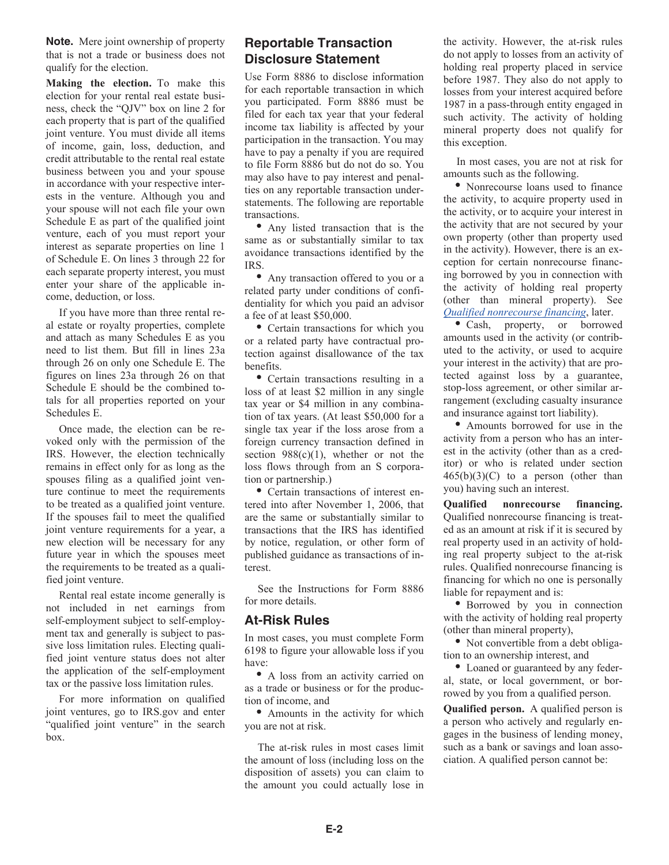<span id="page-1-0"></span>**Note.** Mere joint ownership of property that is not a trade or business does not qualify for the election.

**Making the election.** To make this election for your rental real estate business, check the "QJV" box on line 2 for each property that is part of the qualified joint venture. You must divide all items of income, gain, loss, deduction, and credit attributable to the rental real estate business between you and your spouse in accordance with your respective interests in the venture. Although you and your spouse will not each file your own Schedule E as part of the qualified joint venture, each of you must report your interest as separate properties on line 1 of Schedule E. On lines 3 through 22 for each separate property interest, you must enter your share of the applicable income, deduction, or loss.

If you have more than three rental real estate or royalty properties, complete and attach as many Schedules E as you need to list them. But fill in lines 23a through 26 on only one Schedule E. The figures on lines 23a through 26 on that Schedule E should be the combined totals for all properties reported on your Schedules E.

Once made, the election can be revoked only with the permission of the IRS. However, the election technically remains in effect only for as long as the spouses filing as a qualified joint venture continue to meet the requirements to be treated as a qualified joint venture. If the spouses fail to meet the qualified joint venture requirements for a year, a new election will be necessary for any future year in which the spouses meet the requirements to be treated as a qualified joint venture.

Rental real estate income generally is not included in net earnings from self-employment subject to self-employment tax and generally is subject to passive loss limitation rules. Electing qualified joint venture status does not alter the application of the self-employment tax or the passive loss limitation rules.

For more information on qualified joint ventures, go to IRS.gov and enter "qualified joint venture" in the search box.

# **Reportable Transaction Disclosure Statement**

Use Form 8886 to disclose information for each reportable transaction in which you participated. Form 8886 must be filed for each tax year that your federal income tax liability is affected by your participation in the transaction. You may have to pay a penalty if you are required to file Form 8886 but do not do so. You may also have to pay interest and penalties on any reportable transaction understatements. The following are reportable transactions.

• Any listed transaction that is the same as or substantially similar to tax avoidance transactions identified by the IRS.

• Any transaction offered to you or a related party under conditions of confidentiality for which you paid an advisor a fee of at least \$50,000.

• Certain transactions for which you or a related party have contractual protection against disallowance of the tax benefits.

Certain transactions resulting in a loss of at least \$2 million in any single tax year or \$4 million in any combination of tax years. (At least \$50,000 for a single tax year if the loss arose from a foreign currency transaction defined in section  $988(c)(1)$ , whether or not the loss flows through from an S corporation or partnership.)

Certain transactions of interest entered into after November 1, 2006, that are the same or substantially similar to transactions that the IRS has identified by notice, regulation, or other form of published guidance as transactions of interest.

See the Instructions for Form 8886 for more details.

### **At-Risk Rules**

In most cases, you must complete Form 6198 to figure your allowable loss if you have:

• A loss from an activity carried on as a trade or business or for the production of income, and

Amounts in the activity for which you are not at risk.

The at-risk rules in most cases limit the amount of loss (including loss on the disposition of assets) you can claim to the amount you could actually lose in

the activity. However, the at-risk rules do not apply to losses from an activity of holding real property placed in service before 1987. They also do not apply to losses from your interest acquired before 1987 in a pass-through entity engaged in such activity. The activity of holding mineral property does not qualify for this exception.

In most cases, you are not at risk for amounts such as the following.

Nonrecourse loans used to finance the activity, to acquire property used in the activity, or to acquire your interest in the activity that are not secured by your own property (other than property used in the activity). However, there is an exception for certain nonrecourse financing borrowed by you in connection with the activity of holding real property (other than mineral property). See *Qualified nonrecourse financing*, later.

• Cash, property, or borrowed amounts used in the activity (or contributed to the activity, or used to acquire your interest in the activity) that are protected against loss by a guarantee, stop-loss agreement, or other similar arrangement (excluding casualty insurance and insurance against tort liability).

Amounts borrowed for use in the activity from a person who has an interest in the activity (other than as a creditor) or who is related under section  $465(b)(3)(C)$  to a person (other than you) having such an interest.

**Qualified nonrecourse financing.**  Qualified nonrecourse financing is treated as an amount at risk if it is secured by real property used in an activity of holding real property subject to the at-risk rules. Qualified nonrecourse financing is financing for which no one is personally liable for repayment and is:

Borrowed by you in connection with the activity of holding real property (other than mineral property),

• Not convertible from a debt obligation to an ownership interest, and

Loaned or guaranteed by any federal, state, or local government, or borrowed by you from a qualified person.

**Qualified person.** A qualified person is a person who actively and regularly engages in the business of lending money, such as a bank or savings and loan association. A qualified person cannot be: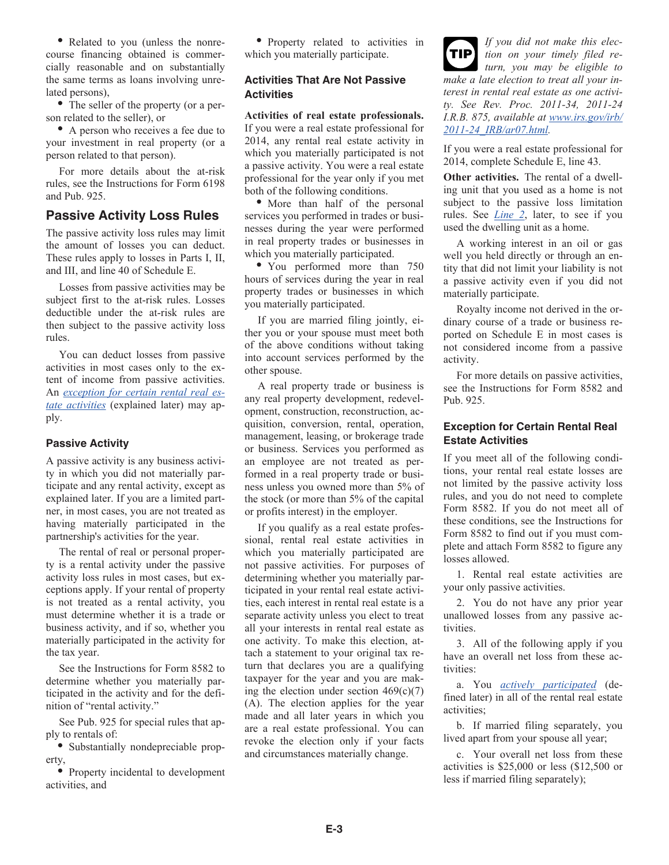<span id="page-2-0"></span>Related to you (unless the nonrecourse financing obtained is commercially reasonable and on substantially the same terms as loans involving unrelated persons),

The seller of the property (or a person related to the seller), or

A person who receives a fee due to your investment in real property (or a person related to that person).

For more details about the at-risk rules, see the Instructions for Form 6198 and Pub. 925.

#### **Passive Activity Loss Rules**

The passive activity loss rules may limit the amount of losses you can deduct. These rules apply to losses in Parts I, II, and III, and line 40 of Schedule E.

Losses from passive activities may be subject first to the at-risk rules. Losses deductible under the at-risk rules are then subject to the passive activity loss rules.

You can deduct losses from passive activities in most cases only to the extent of income from passive activities. An *exception for certain rental real estate activities* (explained later) may apply.

#### **Passive Activity**

A passive activity is any business activity in which you did not materially participate and any rental activity, except as explained later. If you are a limited partner, in most cases, you are not treated as having materially participated in the partnership's activities for the year.

The rental of real or personal property is a rental activity under the passive activity loss rules in most cases, but exceptions apply. If your rental of property is not treated as a rental activity, you must determine whether it is a trade or business activity, and if so, whether you materially participated in the activity for the tax year.

See the Instructions for Form 8582 to determine whether you materially participated in the activity and for the definition of "rental activity."

See Pub. 925 for special rules that apply to rentals of:

Substantially nondepreciable property,

• Property incidental to development activities, and

• Property related to activities in which you materially participate.

#### **Activities That Are Not Passive Activities**

**Activities of real estate professionals.**  If you were a real estate professional for 2014, any rental real estate activity in which you materially participated is not a passive activity. You were a real estate professional for the year only if you met both of the following conditions.

• More than half of the personal services you performed in trades or businesses during the year were performed in real property trades or businesses in which you materially participated.

You performed more than 750 hours of services during the year in real property trades or businesses in which you materially participated.

If you are married filing jointly, either you or your spouse must meet both of the above conditions without taking into account services performed by the other spouse.

A real property trade or business is any real property development, redevelopment, construction, reconstruction, acquisition, conversion, rental, operation, management, leasing, or brokerage trade or business. Services you performed as an employee are not treated as performed in a real property trade or business unless you owned more than 5% of the stock (or more than 5% of the capital or profits interest) in the employer.

If you qualify as a real estate professional, rental real estate activities in which you materially participated are not passive activities. For purposes of determining whether you materially participated in your rental real estate activities, each interest in rental real estate is a separate activity unless you elect to treat all your interests in rental real estate as one activity. To make this election, attach a statement to your original tax return that declares you are a qualifying taxpayer for the year and you are making the election under section  $469(c)(7)$ (A). The election applies for the year made and all later years in which you are a real estate professional. You can revoke the election only if your facts and circumstances materially change.

*If you did not make this election on your timely filed return, you may be eligible to make a late election to treat all your interest in rental real estate as one activi*ty. See Rev. Proc. 2011-34, 2011-24 *I.R.B. 875, available at [www.irs.gov/irb/](http://www.irs.gov/irb/2011-24_IRB/ar07.html) [201124\\_IRB/ar07.html.](http://www.irs.gov/irb/2011-24_IRB/ar07.html)* **TIP**

If you were a real estate professional for 2014, complete Schedule E, line 43.

**Other activities.** The rental of a dwelling unit that you used as a home is not subject to the passive loss limitation rules. See *[Line 2](#page-4-0)*, later, to see if you used the dwelling unit as a home.

A working interest in an oil or gas well you held directly or through an entity that did not limit your liability is not a passive activity even if you did not materially participate.

Royalty income not derived in the ordinary course of a trade or business reported on Schedule E in most cases is not considered income from a passive activity.

For more details on passive activities, see the Instructions for Form 8582 and Pub. 925.

#### **Exception for Certain Rental Real Estate Activities**

If you meet all of the following conditions, your rental real estate losses are not limited by the passive activity loss rules, and you do not need to complete Form 8582. If you do not meet all of these conditions, see the Instructions for Form 8582 to find out if you must complete and attach Form 8582 to figure any losses allowed.

1. Rental real estate activities are your only passive activities.

2. You do not have any prior year unallowed losses from any passive activities.

3. All of the following apply if you have an overall net loss from these activities:

a. You *[actively participated](#page-3-0)* (defined later) in all of the rental real estate activities;

b. If married filing separately, you lived apart from your spouse all year;

c. Your overall net loss from these activities is \$25,000 or less (\$12,500 or less if married filing separately);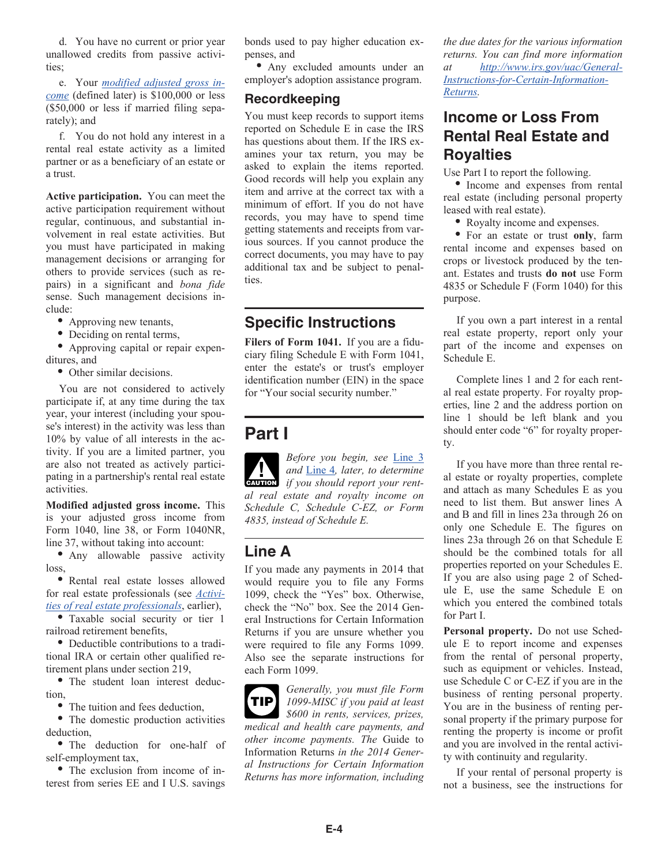<span id="page-3-0"></span>d. You have no current or prior year unallowed credits from passive activities;

e. Your *modified adjusted gross income* (defined later) is \$100,000 or less (\$50,000 or less if married filing separately); and

f. You do not hold any interest in a rental real estate activity as a limited partner or as a beneficiary of an estate or a trust.

**Active participation.** You can meet the active participation requirement without regular, continuous, and substantial involvement in real estate activities. But you must have participated in making management decisions or arranging for others to provide services (such as repairs) in a significant and *bona fide*  sense. Such management decisions include:

- Approving new tenants,
- Deciding on rental terms,

Approving capital or repair expenditures, and

Other similar decisions.

You are not considered to actively participate if, at any time during the tax year, your interest (including your spouse's interest) in the activity was less than 10% by value of all interests in the activity. If you are a limited partner, you are also not treated as actively participating in a partnership's rental real estate activities.

**Modified adjusted gross income.** This is your adjusted gross income from Form 1040, line 38, or Form 1040NR, line 37, without taking into account:

• Any allowable passive activity loss,

Rental real estate losses allowed for real estate professionals (see *[Activi](#page-2-0)[ties of real estate professionals](#page-2-0)*, earlier),

Taxable social security or tier 1 railroad retirement benefits,

Deductible contributions to a traditional IRA or certain other qualified retirement plans under section 219,

• The student loan interest deduction,

• The tuition and fees deduction,

The domestic production activities deduction,

The deduction for one-half of self-employment tax,

• The exclusion from income of interest from series EE and I U.S. savings bonds used to pay higher education expenses, and

Any excluded amounts under an employer's adoption assistance program.

### **Recordkeeping**

You must keep records to support items reported on Schedule E in case the IRS has questions about them. If the IRS examines your tax return, you may be asked to explain the items reported. Good records will help you explain any item and arrive at the correct tax with a minimum of effort. If you do not have records, you may have to spend time getting statements and receipts from various sources. If you cannot produce the correct documents, you may have to pay additional tax and be subject to penalties.

# **Specific Instructions**

**Filers of Form 1041.** If you are a fiduciary filing Schedule E with Form 1041, enter the estate's or trust's employer identification number (EIN) in the space for "Your social security number."

# **Part I**

*Before you begin, see* [Line 3](#page-4-0) *and* [Line 4](#page-5-0)*, later, to determine caution if you should report your rental real estate and royalty income on Schedule C, Schedule CEZ, or Form 4835, instead of Schedule E.*

# **Line A**

If you made any payments in 2014 that would require you to file any Forms 1099, check the "Yes" box. Otherwise, check the "No" box. See the 2014 General Instructions for Certain Information Returns if you are unsure whether you were required to file any Forms 1099. Also see the separate instructions for each Form 1099.



*Generally, you must file Form 1099MISC if you paid at least \$600 in rents, services, prizes, medical and health care payments, and other income payments. The* Guide to Information Returns *in the 2014 Gener-* *the due dates for the various information returns. You can find more information at [http://www.irs.gov/uac/General-](http://www.irs.gov/uac/General-Instructions-for-Certain-Information-Returns)*Instructions-for-Certain-Information-*[Returns](http://www.irs.gov/uac/General-Instructions-for-Certain-Information-Returns).*

# **Income or Loss From Rental Real Estate and Royalties**

Use Part I to report the following.

• Income and expenses from rental real estate (including personal property leased with real estate).

Royalty income and expenses.

For an estate or trust **only**, farm rental income and expenses based on crops or livestock produced by the tenant. Estates and trusts **do not** use Form 4835 or Schedule F (Form 1040) for this purpose.

If you own a part interest in a rental real estate property, report only your part of the income and expenses on Schedule E.

Complete lines 1 and 2 for each rental real estate property. For royalty properties, line 2 and the address portion on line 1 should be left blank and you should enter code "6" for royalty property.

If you have more than three rental real estate or royalty properties, complete and attach as many Schedules E as you need to list them. But answer lines A and B and fill in lines 23a through 26 on only one Schedule E. The figures on lines 23a through 26 on that Schedule E should be the combined totals for all properties reported on your Schedules E. If you are also using page 2 of Schedule E, use the same Schedule E on which you entered the combined totals for Part I.

**Personal property.** Do not use Schedule E to report income and expenses from the rental of personal property, such as equipment or vehicles. Instead, use Schedule C or C-EZ if you are in the business of renting personal property. You are in the business of renting personal property if the primary purpose for renting the property is income or profit and you are involved in the rental activity with continuity and regularity.

If your rental of personal property is not a business, see the instructions for

*al Instructions for Certain Information Returns has more information, including*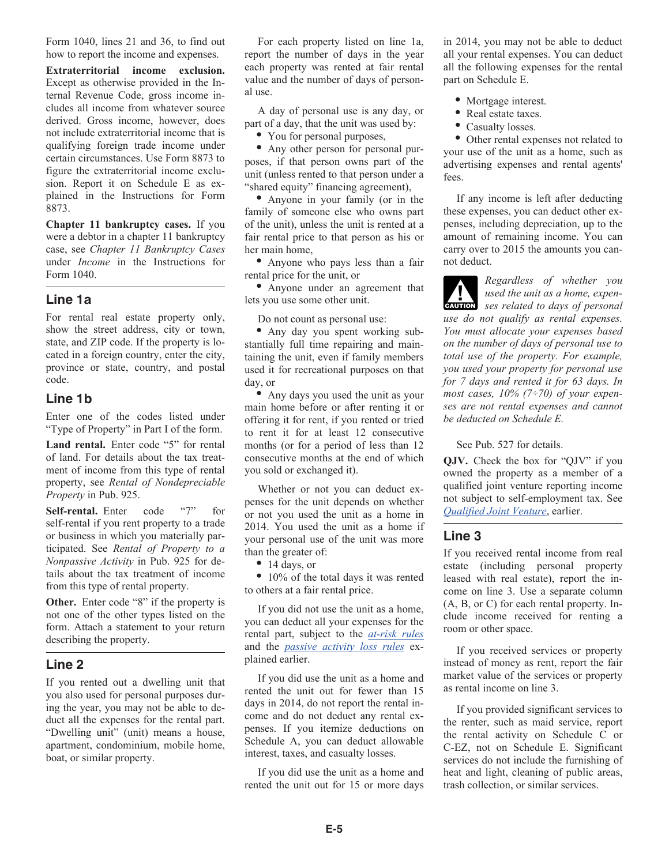<span id="page-4-0"></span>Form 1040, lines 21 and 36, to find out how to report the income and expenses.

**Extraterritorial income exclusion.**  Except as otherwise provided in the Internal Revenue Code, gross income includes all income from whatever source derived. Gross income, however, does not include extraterritorial income that is qualifying foreign trade income under certain circumstances. Use Form 8873 to figure the extraterritorial income exclusion. Report it on Schedule E as explained in the Instructions for Form 8873.

**Chapter 11 bankruptcy cases.** If you were a debtor in a chapter 11 bankruptcy case, see *Chapter 11 Bankruptcy Cases*  under *Income* in the Instructions for Form 1040.

### **Line 1a**

For rental real estate property only, show the street address, city or town, state, and ZIP code. If the property is located in a foreign country, enter the city, province or state, country, and postal code.

#### **Line 1b**

Enter one of the codes listed under "Type of Property" in Part I of the form.

Land rental. Enter code "5" for rental of land. For details about the tax treatment of income from this type of rental property, see *Rental of Nondepreciable Property* in Pub. 925.

**Self-rental.** Enter code "7" for self-rental if you rent property to a trade or business in which you materially participated. See *Rental of Property to a Nonpassive Activity* in Pub. 925 for details about the tax treatment of income from this type of rental property.

**Other.** Enter code "8" if the property is not one of the other types listed on the form. Attach a statement to your return describing the property.

### **Line 2**

If you rented out a dwelling unit that you also used for personal purposes during the year, you may not be able to deduct all the expenses for the rental part. "Dwelling unit" (unit) means a house, apartment, condominium, mobile home, boat, or similar property.

For each property listed on line 1a, report the number of days in the year each property was rented at fair rental value and the number of days of personal use.

A day of personal use is any day, or part of a day, that the unit was used by:

You for personal purposes,

Any other person for personal purposes, if that person owns part of the unit (unless rented to that person under a "shared equity" financing agreement),

Anyone in your family (or in the family of someone else who owns part of the unit), unless the unit is rented at a fair rental price to that person as his or her main home,

• Anyone who pays less than a fair rental price for the unit, or

Anyone under an agreement that lets you use some other unit.

Do not count as personal use:

• Any day you spent working substantially full time repairing and maintaining the unit, even if family members used it for recreational purposes on that day, or

• Any days you used the unit as your main home before or after renting it or offering it for rent, if you rented or tried to rent it for at least 12 consecutive months (or for a period of less than 12 consecutive months at the end of which you sold or exchanged it).

Whether or not you can deduct expenses for the unit depends on whether or not you used the unit as a home in 2014. You used the unit as a home if your personal use of the unit was more than the greater of:

 $\bullet$  14 days, or

• 10% of the total days it was rented to others at a fair rental price.

If you did not use the unit as a home, you can deduct all your expenses for the rental part, subject to the *at-risk rules* and the *[passive activity loss rules](#page-2-0)* explained earlier.

If you did use the unit as a home and rented the unit out for fewer than 15 days in 2014, do not report the rental income and do not deduct any rental expenses. If you itemize deductions on Schedule A, you can deduct allowable interest, taxes, and casualty losses.

If you did use the unit as a home and rented the unit out for 15 or more days in 2014, you may not be able to deduct all your rental expenses. You can deduct all the following expenses for the rental part on Schedule E.

- Mortgage interest.
- Real estate taxes.
- Casualty losses.

Other rental expenses not related to your use of the unit as a home, such as advertising expenses and rental agents' fees.

If any income is left after deducting these expenses, you can deduct other expenses, including depreciation, up to the amount of remaining income. You can carry over to 2015 the amounts you cannot deduct.



*Regardless of whether you used the unit as a home, expen-***CAUTION** used the unit as a home, expenses related to days of personal *use do not qualify as rental expenses. You must allocate your expenses based on the number of days of personal use to total use of the property. For example, you used your property for personal use for 7 days and rented it for 63 days. In most cases, 10% (7÷70) of your expenses are not rental expenses and cannot be deducted on Schedule E.*

See Pub. 527 for details.

**QJV.** Check the box for "QJV" if you owned the property as a member of a qualified joint venture reporting income not subject to self-employment tax. See *[Qualified Joint Venture](#page-0-0)*, earlier.

### **Line 3**

If you received rental income from real estate (including personal property leased with real estate), report the income on line 3. Use a separate column (A, B, or C) for each rental property. Include income received for renting a room or other space.

If you received services or property instead of money as rent, report the fair market value of the services or property as rental income on line 3.

If you provided significant services to the renter, such as maid service, report the rental activity on Schedule C or C-EZ, not on Schedule E. Significant services do not include the furnishing of heat and light, cleaning of public areas, trash collection, or similar services.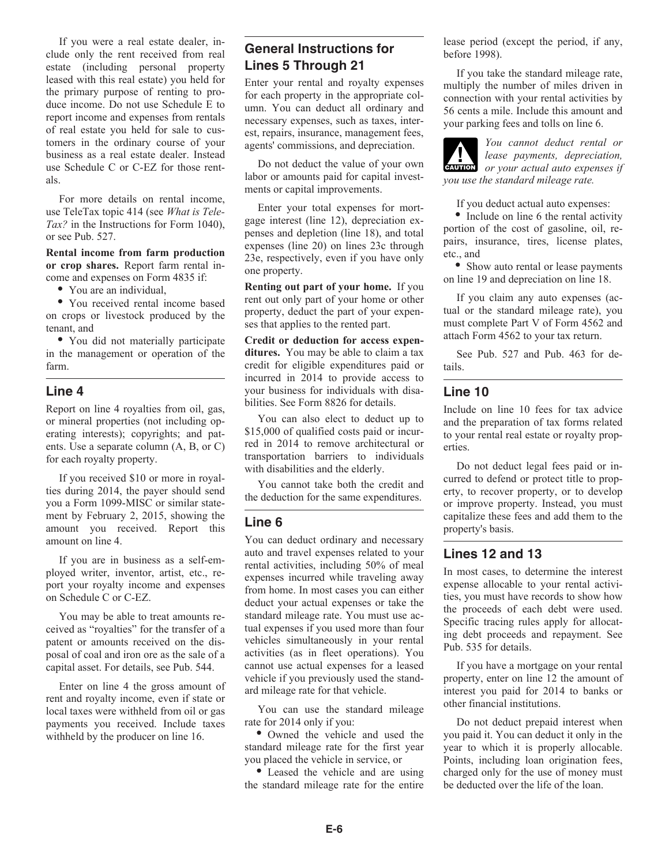<span id="page-5-0"></span>If you were a real estate dealer, include only the rent received from real estate (including personal property leased with this real estate) you held for the primary purpose of renting to produce income. Do not use Schedule E to report income and expenses from rentals of real estate you held for sale to customers in the ordinary course of your business as a real estate dealer. Instead use Schedule C or C-EZ for those rentals.

For more details on rental income, use TeleTax topic 414 (see *What is Tele-Tax?* in the Instructions for Form 1040), or see Pub. 527.

**Rental income from farm production or crop shares.** Report farm rental income and expenses on Form 4835 if:

• You are an individual.

You received rental income based on crops or livestock produced by the tenant, and

You did not materially participate in the management or operation of the farm.

#### **Line 4**

Report on line 4 royalties from oil, gas, or mineral properties (not including operating interests); copyrights; and patents. Use a separate column (A, B, or C) for each royalty property.

If you received \$10 or more in royalties during 2014, the payer should send you a Form 1099-MISC or similar statement by February 2, 2015, showing the amount you received. Report this amount on line 4.

If you are in business as a self-employed writer, inventor, artist, etc., report your royalty income and expenses on Schedule C or C-EZ.

You may be able to treat amounts received as "royalties" for the transfer of a patent or amounts received on the disposal of coal and iron ore as the sale of a capital asset. For details, see Pub. 544.

Enter on line 4 the gross amount of rent and royalty income, even if state or local taxes were withheld from oil or gas payments you received. Include taxes withheld by the producer on line 16.

### **General Instructions for Lines 5 Through 21**

Enter your rental and royalty expenses for each property in the appropriate column. You can deduct all ordinary and necessary expenses, such as taxes, interest, repairs, insurance, management fees, agents' commissions, and depreciation.

Do not deduct the value of your own labor or amounts paid for capital investments or capital improvements.

Enter your total expenses for mortgage interest (line 12), depreciation expenses and depletion (line 18), and total expenses (line 20) on lines 23c through 23e, respectively, even if you have only one property.

**Renting out part of your home.** If you rent out only part of your home or other property, deduct the part of your expenses that applies to the rented part.

**Credit or deduction for access expenditures.** You may be able to claim a tax credit for eligible expenditures paid or incurred in 2014 to provide access to your business for individuals with disabilities. See Form 8826 for details.

You can also elect to deduct up to \$15,000 of qualified costs paid or incurred in 2014 to remove architectural or transportation barriers to individuals with disabilities and the elderly.

You cannot take both the credit and the deduction for the same expenditures.

### **Line 6**

You can deduct ordinary and necessary auto and travel expenses related to your rental activities, including 50% of meal expenses incurred while traveling away from home. In most cases you can either deduct your actual expenses or take the standard mileage rate. You must use actual expenses if you used more than four vehicles simultaneously in your rental activities (as in fleet operations). You cannot use actual expenses for a leased vehicle if you previously used the standard mileage rate for that vehicle.

You can use the standard mileage rate for 2014 only if you:

Owned the vehicle and used the standard mileage rate for the first year you placed the vehicle in service, or

Leased the vehicle and are using the standard mileage rate for the entire lease period (except the period, if any, before 1998).

If you take the standard mileage rate, multiply the number of miles driven in connection with your rental activities by 56 cents a mile. Include this amount and your parking fees and tolls on line 6.

*You cannot deduct rental or lease payments, depreciation, CAUTION or your actual auto expenses if you use the standard mileage rate.*

If you deduct actual auto expenses:

• Include on line 6 the rental activity portion of the cost of gasoline, oil, repairs, insurance, tires, license plates, etc., and

• Show auto rental or lease payments on line 19 and depreciation on line 18.

If you claim any auto expenses (actual or the standard mileage rate), you must complete Part V of Form 4562 and attach Form 4562 to your tax return.

See Pub. 527 and Pub. 463 for details.

#### **Line 10**

Include on line 10 fees for tax advice and the preparation of tax forms related to your rental real estate or royalty properties.

Do not deduct legal fees paid or incurred to defend or protect title to property, to recover property, or to develop or improve property. Instead, you must capitalize these fees and add them to the property's basis.

#### **Lines 12 and 13**

In most cases, to determine the interest expense allocable to your rental activities, you must have records to show how the proceeds of each debt were used. Specific tracing rules apply for allocating debt proceeds and repayment. See Pub. 535 for details.

If you have a mortgage on your rental property, enter on line 12 the amount of interest you paid for 2014 to banks or other financial institutions.

Do not deduct prepaid interest when you paid it. You can deduct it only in the year to which it is properly allocable. Points, including loan origination fees, charged only for the use of money must be deducted over the life of the loan.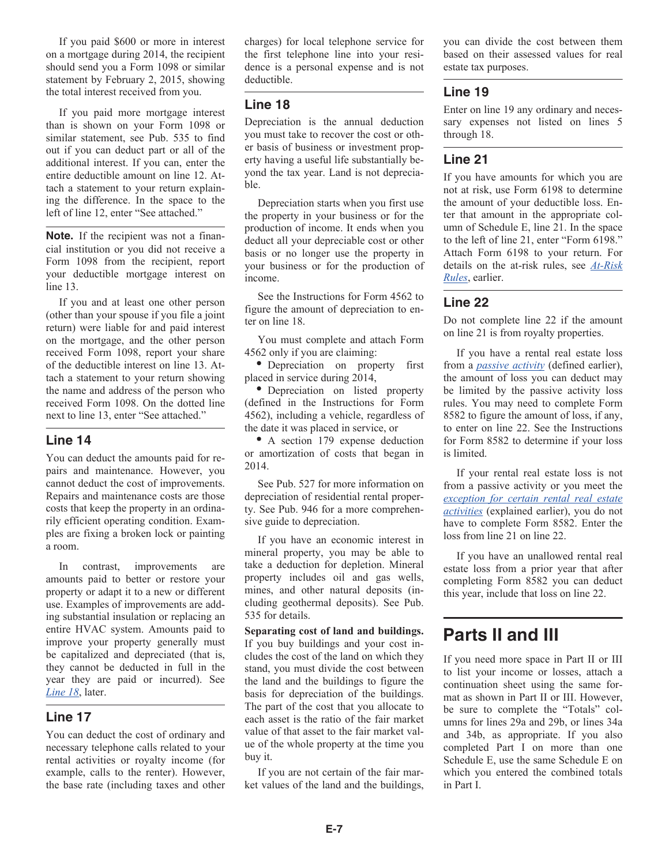If you paid \$600 or more in interest on a mortgage during 2014, the recipient should send you a Form 1098 or similar statement by February 2, 2015, showing the total interest received from you.

If you paid more mortgage interest than is shown on your Form 1098 or similar statement, see Pub. 535 to find out if you can deduct part or all of the additional interest. If you can, enter the entire deductible amount on line 12. Attach a statement to your return explaining the difference. In the space to the left of line 12, enter "See attached."

**Note.** If the recipient was not a financial institution or you did not receive a Form 1098 from the recipient, report your deductible mortgage interest on line 13.

If you and at least one other person (other than your spouse if you file a joint return) were liable for and paid interest on the mortgage, and the other person received Form 1098, report your share of the deductible interest on line 13. Attach a statement to your return showing the name and address of the person who received Form 1098. On the dotted line next to line 13, enter "See attached."

### **Line 14**

You can deduct the amounts paid for repairs and maintenance. However, you cannot deduct the cost of improvements. Repairs and maintenance costs are those costs that keep the property in an ordinarily efficient operating condition. Examples are fixing a broken lock or painting a room.

In contrast, improvements are amounts paid to better or restore your property or adapt it to a new or different use. Examples of improvements are adding substantial insulation or replacing an entire HVAC system. Amounts paid to improve your property generally must be capitalized and depreciated (that is, they cannot be deducted in full in the year they are paid or incurred). See *Line 18*, later.

### **Line 17**

You can deduct the cost of ordinary and necessary telephone calls related to your rental activities or royalty income (for example, calls to the renter). However, the base rate (including taxes and other charges) for local telephone service for the first telephone line into your residence is a personal expense and is not deductible.

### **Line 18**

Depreciation is the annual deduction you must take to recover the cost or other basis of business or investment property having a useful life substantially beyond the tax year. Land is not depreciable.

Depreciation starts when you first use the property in your business or for the production of income. It ends when you deduct all your depreciable cost or other basis or no longer use the property in your business or for the production of income.

See the Instructions for Form 4562 to figure the amount of depreciation to enter on line 18.

You must complete and attach Form 4562 only if you are claiming:

Depreciation on property first placed in service during 2014,

Depreciation on listed property (defined in the Instructions for Form 4562), including a vehicle, regardless of the date it was placed in service, or

• A section 179 expense deduction or amortization of costs that began in 2014.

See Pub. 527 for more information on depreciation of residential rental property. See Pub. 946 for a more comprehensive guide to depreciation.

If you have an economic interest in mineral property, you may be able to take a deduction for depletion. Mineral property includes oil and gas wells, mines, and other natural deposits (including geothermal deposits). See Pub. 535 for details.

**Separating cost of land and buildings.**  If you buy buildings and your cost includes the cost of the land on which they stand, you must divide the cost between the land and the buildings to figure the basis for depreciation of the buildings. The part of the cost that you allocate to each asset is the ratio of the fair market value of that asset to the fair market value of the whole property at the time you buy it.

If you are not certain of the fair market values of the land and the buildings, you can divide the cost between them based on their assessed values for real estate tax purposes.

### **Line 19**

Enter on line 19 any ordinary and necessary expenses not listed on lines 5 through 18.

### **Line 21**

If you have amounts for which you are not at risk, use Form 6198 to determine the amount of your deductible loss. Enter that amount in the appropriate column of Schedule E, line 21. In the space to the left of line 21, enter "Form 6198." Attach Form 6198 to your return. For details on the at-risk rules, see *At-Risk [Rules](#page-1-0)*, earlier.

## **Line 22**

Do not complete line 22 if the amount on line 21 is from royalty properties.

If you have a rental real estate loss from a *[passive activity](#page-2-0)* (defined earlier), the amount of loss you can deduct may be limited by the passive activity loss rules. You may need to complete Form 8582 to figure the amount of loss, if any, to enter on line 22. See the Instructions for Form 8582 to determine if your loss is limited.

If your rental real estate loss is not from a passive activity or you meet the *[exception for certain rental real estate](#page-2-0)  [activities](#page-2-0)* (explained earlier), you do not have to complete Form 8582. Enter the loss from line 21 on line 22.

If you have an unallowed rental real estate loss from a prior year that after completing Form 8582 you can deduct this year, include that loss on line 22.

# **Parts II and III**

If you need more space in Part II or III to list your income or losses, attach a continuation sheet using the same format as shown in Part II or III. However, be sure to complete the "Totals" columns for lines 29a and 29b, or lines 34a and 34b, as appropriate. If you also completed Part I on more than one Schedule E, use the same Schedule E on which you entered the combined totals in Part I.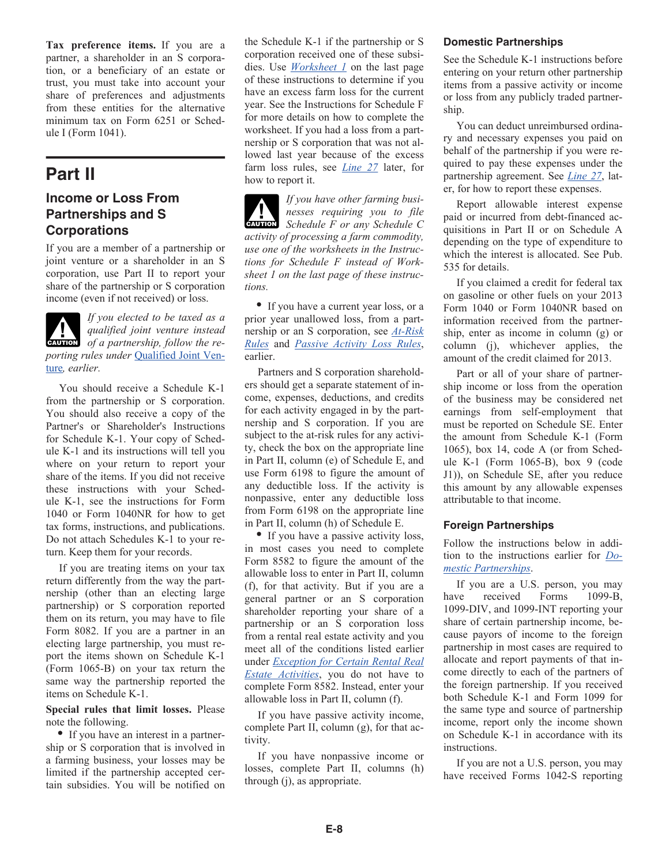**Tax preference items.** If you are a partner, a shareholder in an S corporation, or a beneficiary of an estate or trust, you must take into account your share of preferences and adjustments from these entities for the alternative minimum tax on Form 6251 or Schedule I (Form 1041).

# **Part II**

# **Income or Loss From Partnerships and S Corporations**

If you are a member of a partnership or joint venture or a shareholder in an S corporation, use Part II to report your share of the partnership or S corporation income (even if not received) or loss.



*If you elected to be taxed as a qualified joint venture instead*  **c**<br>**CAUTION** *of a partnership, follow the reporting rules under* [Qualified Joint Ven](#page-0-0)[ture](#page-0-0)*, earlier.*

You should receive a Schedule K-1 from the partnership or S corporation. You should also receive a copy of the Partner's or Shareholder's Instructions for Schedule K-1. Your copy of Schedule K-1 and its instructions will tell you where on your return to report your share of the items. If you did not receive these instructions with your Schedule K-1, see the instructions for Form 1040 or Form 1040NR for how to get tax forms, instructions, and publications. Do not attach Schedules K-1 to your return. Keep them for your records.

If you are treating items on your tax return differently from the way the partnership (other than an electing large partnership) or S corporation reported them on its return, you may have to file Form 8082. If you are a partner in an electing large partnership, you must report the items shown on Schedule K-1 (Form 1065-B) on your tax return the same way the partnership reported the items on Schedule K-1.

**Special rules that limit losses.** Please note the following.

If you have an interest in a partnership or S corporation that is involved in a farming business, your losses may be limited if the partnership accepted certain subsidies. You will be notified on the Schedule K-1 if the partnership or S corporation received one of these subsidies. Use *[Worksheet 1](#page-11-0)* on the last page of these instructions to determine if you have an excess farm loss for the current year. See the Instructions for Schedule F for more details on how to complete the worksheet. If you had a loss from a partnership or S corporation that was not allowed last year because of the excess farm loss rules, see *[Line 27](#page-8-0)* later, for how to report it.

*If you have other farming businesses requiring you to file*  **CAUTION** Schedule F or any Schedule C *activity of processing a farm commodity, use one of the worksheets in the Instructions for Schedule F instead of Worksheet 1 on the last page of these instructions.*

If you have a current year loss, or a prior year unallowed loss, from a partnership or an S corporation, see  $At-Risk$ *[Rules](#page-1-0)* and *[Passive Activity Loss Rules](#page-2-0)*, earlier.

Partners and S corporation shareholders should get a separate statement of income, expenses, deductions, and credits for each activity engaged in by the partnership and S corporation. If you are subject to the at-risk rules for any activity, check the box on the appropriate line in Part II, column (e) of Schedule E, and use Form 6198 to figure the amount of any deductible loss. If the activity is nonpassive, enter any deductible loss from Form 6198 on the appropriate line in Part II, column (h) of Schedule E.

• If you have a passive activity loss, in most cases you need to complete Form 8582 to figure the amount of the allowable loss to enter in Part II, column (f), for that activity. But if you are a general partner or an S corporation shareholder reporting your share of a partnership or an S corporation loss from a rental real estate activity and you meet all of the conditions listed earlier under *[Exception for Certain Rental Real](#page-2-0) [Estate Activities](#page-2-0)*, you do not have to complete Form 8582. Instead, enter your allowable loss in Part II, column (f).

If you have passive activity income, complete Part II, column (g), for that activity.

If you have nonpassive income or losses, complete Part II, columns (h) through (j), as appropriate.

#### **Domestic Partnerships**

See the Schedule K-1 instructions before entering on your return other partnership items from a passive activity or income or loss from any publicly traded partnership.

You can deduct unreimbursed ordinary and necessary expenses you paid on behalf of the partnership if you were required to pay these expenses under the partnership agreement. See *[Line 27](#page-8-0)*, later, for how to report these expenses.

Report allowable interest expense paid or incurred from debt-financed acquisitions in Part II or on Schedule A depending on the type of expenditure to which the interest is allocated. See Pub. 535 for details.

If you claimed a credit for federal tax on gasoline or other fuels on your 2013 Form 1040 or Form 1040NR based on information received from the partnership, enter as income in column (g) or column (j), whichever applies, the amount of the credit claimed for 2013.

Part or all of your share of partnership income or loss from the operation of the business may be considered net earnings from self-employment that must be reported on Schedule SE. Enter the amount from Schedule K-1 (Form 1065), box 14, code A (or from Schedule K-1 (Form 1065-B), box 9 (code J1)), on Schedule SE, after you reduce this amount by any allowable expenses attributable to that income.

#### **Foreign Partnerships**

Follow the instructions below in addition to the instructions earlier for *Domestic Partnerships*.

If you are a U.S. person, you may have received Forms 1099-B. 1099-DIV, and 1099-INT reporting your share of certain partnership income, because payors of income to the foreign partnership in most cases are required to allocate and report payments of that income directly to each of the partners of the foreign partnership. If you received both Schedule K-1 and Form 1099 for the same type and source of partnership income, report only the income shown on Schedule K-1 in accordance with its instructions.

If you are not a U.S. person, you may have received Forms 1042-S reporting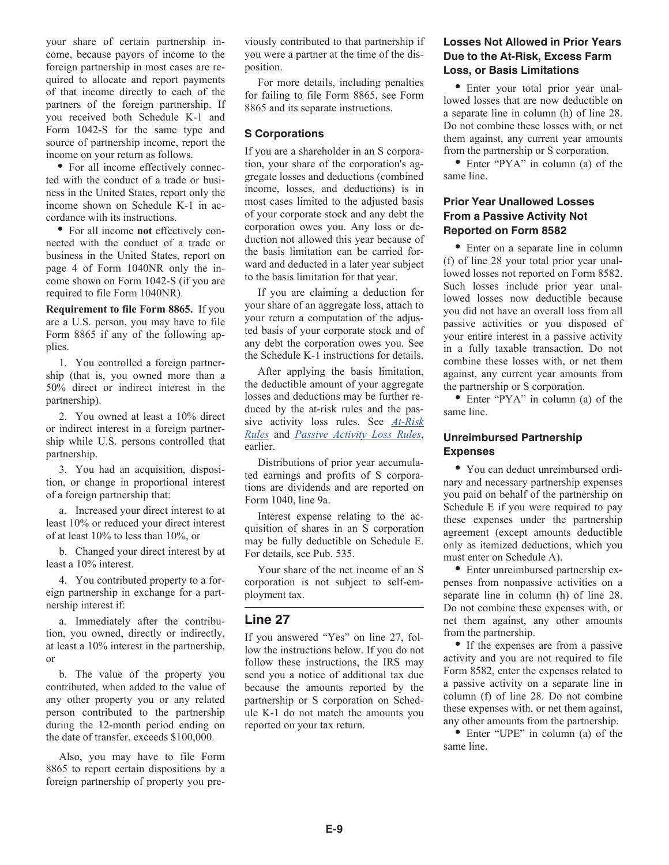<span id="page-8-0"></span>your share of certain partnership income, because payors of income to the foreign partnership in most cases are required to allocate and report payments of that income directly to each of the partners of the foreign partnership. If you received both Schedule K-1 and Form 1042-S for the same type and source of partnership income, report the income on your return as follows.

For all income effectively connected with the conduct of a trade or business in the United States, report only the income shown on Schedule K-1 in accordance with its instructions.

For all income **not** effectively connected with the conduct of a trade or business in the United States, report on page 4 of Form 1040NR only the income shown on Form 1042-S (if you are required to file Form 1040NR).

**Requirement to file Form 8865.** If you are a U.S. person, you may have to file Form 8865 if any of the following applies.

1. You controlled a foreign partnership (that is, you owned more than a 50% direct or indirect interest in the partnership).

2. You owned at least a 10% direct or indirect interest in a foreign partnership while U.S. persons controlled that partnership.

3. You had an acquisition, disposition, or change in proportional interest of a foreign partnership that:

a. Increased your direct interest to at least 10% or reduced your direct interest of at least 10% to less than 10%, or

b. Changed your direct interest by at least a 10% interest.

4. You contributed property to a foreign partnership in exchange for a partnership interest if:

a. Immediately after the contribution, you owned, directly or indirectly, at least a 10% interest in the partnership, or

b. The value of the property you contributed, when added to the value of any other property you or any related person contributed to the partnership during the 12-month period ending on the date of transfer, exceeds \$100,000.

Also, you may have to file Form 8865 to report certain dispositions by a foreign partnership of property you pre-

viously contributed to that partnership if you were a partner at the time of the disposition.

For more details, including penalties for failing to file Form 8865, see Form 8865 and its separate instructions.

#### **S Corporations**

If you are a shareholder in an S corporation, your share of the corporation's aggregate losses and deductions (combined income, losses, and deductions) is in most cases limited to the adjusted basis of your corporate stock and any debt the corporation owes you. Any loss or deduction not allowed this year because of the basis limitation can be carried forward and deducted in a later year subject to the basis limitation for that year.

If you are claiming a deduction for your share of an aggregate loss, attach to your return a computation of the adjusted basis of your corporate stock and of any debt the corporation owes you. See the Schedule K-1 instructions for details.

After applying the basis limitation, the deductible amount of your aggregate losses and deductions may be further reduced by the at-risk rules and the passive activity loss rules. See *At-Risk [Rules](#page-1-0)* and *[Passive Activity Loss Rules](#page-2-0)*, earlier.

Distributions of prior year accumulated earnings and profits of S corporations are dividends and are reported on Form 1040, line 9a.

Interest expense relating to the acquisition of shares in an S corporation may be fully deductible on Schedule E. For details, see Pub. 535.

Your share of the net income of an S corporation is not subject to self-employment tax.

#### **Line 27**

If you answered "Yes" on line 27, follow the instructions below. If you do not follow these instructions, the IRS may send you a notice of additional tax due because the amounts reported by the partnership or S corporation on Schedule K-1 do not match the amounts you reported on your tax return.

#### **Losses Not Allowed in Prior Years Due to the At-Risk, Excess Farm Loss, or Basis Limitations**

Enter your total prior year unallowed losses that are now deductible on a separate line in column (h) of line 28. Do not combine these losses with, or net them against, any current year amounts from the partnership or S corporation.

• Enter "PYA" in column (a) of the same line.

### **Prior Year Unallowed Losses From a Passive Activity Not Reported on Form 8582**

Enter on a separate line in column (f) of line 28 your total prior year unallowed losses not reported on Form 8582. Such losses include prior year unallowed losses now deductible because you did not have an overall loss from all passive activities or you disposed of your entire interest in a passive activity in a fully taxable transaction. Do not combine these losses with, or net them against, any current year amounts from the partnership or S corporation.

Enter "PYA" in column (a) of the same line.

#### **Unreimbursed Partnership Expenses**

You can deduct unreimbursed ordinary and necessary partnership expenses you paid on behalf of the partnership on Schedule E if you were required to pay these expenses under the partnership agreement (except amounts deductible only as itemized deductions, which you must enter on Schedule A).

Enter unreimbursed partnership expenses from nonpassive activities on a separate line in column (h) of line 28. Do not combine these expenses with, or net them against, any other amounts from the partnership.

• If the expenses are from a passive activity and you are not required to file Form 8582, enter the expenses related to a passive activity on a separate line in column (f) of line 28. Do not combine these expenses with, or net them against, any other amounts from the partnership.

Enter "UPE" in column (a) of the same line.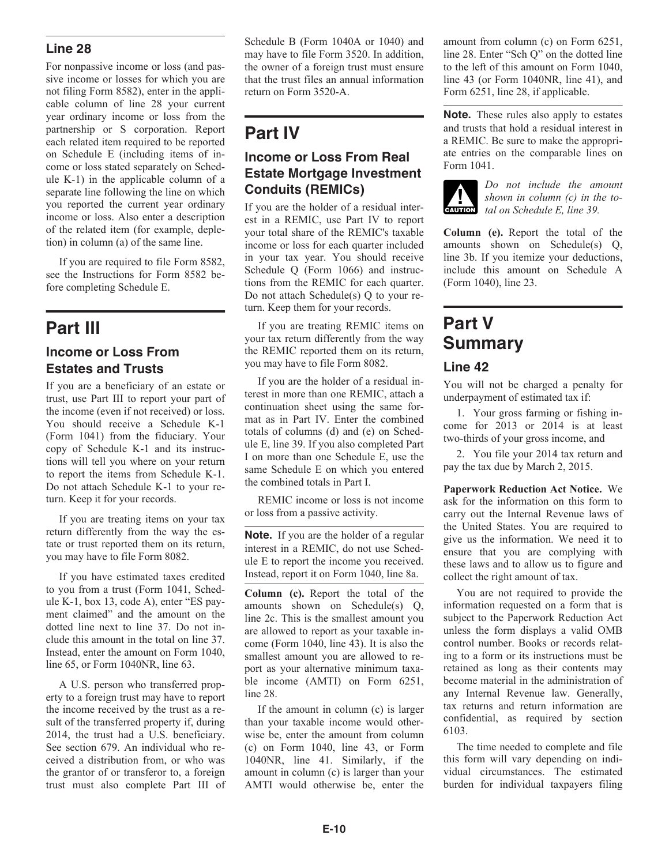### **Line 28**

For nonpassive income or loss (and passive income or losses for which you are not filing Form 8582), enter in the applicable column of line 28 your current year ordinary income or loss from the partnership or S corporation. Report each related item required to be reported on Schedule E (including items of income or loss stated separately on Schedule K-1) in the applicable column of a separate line following the line on which you reported the current year ordinary income or loss. Also enter a description of the related item (for example, depletion) in column (a) of the same line.

If you are required to file Form 8582, see the Instructions for Form 8582 before completing Schedule E.

# **Part III**

## **Income or Loss From Estates and Trusts**

If you are a beneficiary of an estate or trust, use Part III to report your part of the income (even if not received) or loss. You should receive a Schedule K-1 (Form 1041) from the fiduciary. Your copy of Schedule K-1 and its instructions will tell you where on your return to report the items from Schedule K-1. Do not attach Schedule K-1 to your return. Keep it for your records.

If you are treating items on your tax return differently from the way the estate or trust reported them on its return, you may have to file Form 8082.

If you have estimated taxes credited to you from a trust (Form 1041, Schedule K-1, box 13, code A), enter "ES payment claimed" and the amount on the dotted line next to line 37. Do not include this amount in the total on line 37. Instead, enter the amount on Form 1040, line 65, or Form 1040NR, line 63.

A U.S. person who transferred property to a foreign trust may have to report the income received by the trust as a result of the transferred property if, during 2014, the trust had a U.S. beneficiary. See section 679. An individual who received a distribution from, or who was the grantor of or transferor to, a foreign trust must also complete Part III of Schedule B (Form 1040A or 1040) and may have to file Form 3520. In addition, the owner of a foreign trust must ensure that the trust files an annual information return on Form 3520-A.

# **Part IV**

# **Income or Loss From Real Estate Mortgage Investment Conduits (REMICs)**

If you are the holder of a residual interest in a REMIC, use Part IV to report your total share of the REMIC's taxable income or loss for each quarter included in your tax year. You should receive Schedule Q (Form 1066) and instructions from the REMIC for each quarter. Do not attach Schedule(s) Q to your return. Keep them for your records.

If you are treating REMIC items on your tax return differently from the way the REMIC reported them on its return, you may have to file Form 8082.

If you are the holder of a residual interest in more than one REMIC, attach a continuation sheet using the same format as in Part IV. Enter the combined totals of columns (d) and (e) on Schedule E, line 39. If you also completed Part I on more than one Schedule E, use the same Schedule E on which you entered the combined totals in Part I.

REMIC income or loss is not income or loss from a passive activity.

**Note.** If you are the holder of a regular interest in a REMIC, do not use Schedule E to report the income you received. Instead, report it on Form 1040, line 8a.

**Column (c).** Report the total of the amounts shown on Schedule(s) Q, line 2c. This is the smallest amount you are allowed to report as your taxable income (Form 1040, line 43). It is also the smallest amount you are allowed to report as your alternative minimum taxable income (AMTI) on Form 6251, line 28.

If the amount in column (c) is larger than your taxable income would otherwise be, enter the amount from column (c) on Form 1040, line 43, or Form 1040NR, line 41. Similarly, if the amount in column (c) is larger than your AMTI would otherwise be, enter the

amount from column (c) on Form 6251, line 28. Enter "Sch Q" on the dotted line to the left of this amount on Form 1040, line 43 (or Form 1040NR, line 41), and Form 6251, line 28, if applicable.

**Note.** These rules also apply to estates and trusts that hold a residual interest in a REMIC. Be sure to make the appropriate entries on the comparable lines on Form 1041.



*Do not include the amount shown in column (c) in the to***caution** *tal* on *Schedule E, line 39.* 

**Column (e).** Report the total of the amounts shown on Schedule(s) Q, line 3b. If you itemize your deductions, include this amount on Schedule A (Form 1040), line 23.

# **Part V Summary**

### **Line 42**

You will not be charged a penalty for underpayment of estimated tax if:

1. Your gross farming or fishing income for 2013 or 2014 is at least two-thirds of your gross income, and

2. You file your 2014 tax return and pay the tax due by March 2, 2015.

**Paperwork Reduction Act Notice.** We ask for the information on this form to carry out the Internal Revenue laws of the United States. You are required to give us the information. We need it to ensure that you are complying with these laws and to allow us to figure and collect the right amount of tax.

You are not required to provide the information requested on a form that is subject to the Paperwork Reduction Act unless the form displays a valid OMB control number. Books or records relating to a form or its instructions must be retained as long as their contents may become material in the administration of any Internal Revenue law. Generally, tax returns and return information are confidential, as required by section 6103.

The time needed to complete and file this form will vary depending on individual circumstances. The estimated burden for individual taxpayers filing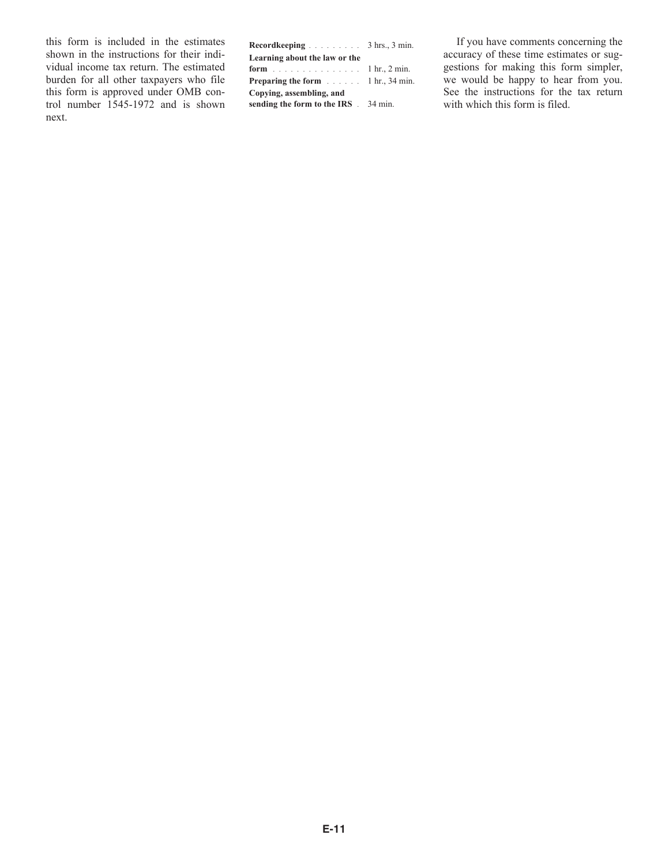this form is included in the estimates shown in the instructions for their individual income tax return. The estimated burden for all other taxpayers who file this form is approved under OMB control number 1545-1972 and is shown next.

| <b>Recordkeeping</b> 3 hrs., 3 min.               |  |  |  |  |
|---------------------------------------------------|--|--|--|--|
| Learning about the law or the                     |  |  |  |  |
| <b>form</b> 1 hr., 2 min.                         |  |  |  |  |
| <b>Preparing the form</b> $\ldots$ 1 hr., 34 min. |  |  |  |  |
| Copying, assembling, and                          |  |  |  |  |
| sending the form to the IRS 34 min.               |  |  |  |  |

If you have comments concerning the accuracy of these time estimates or suggestions for making this form simpler, we would be happy to hear from you. See the instructions for the tax return with which this form is filed.